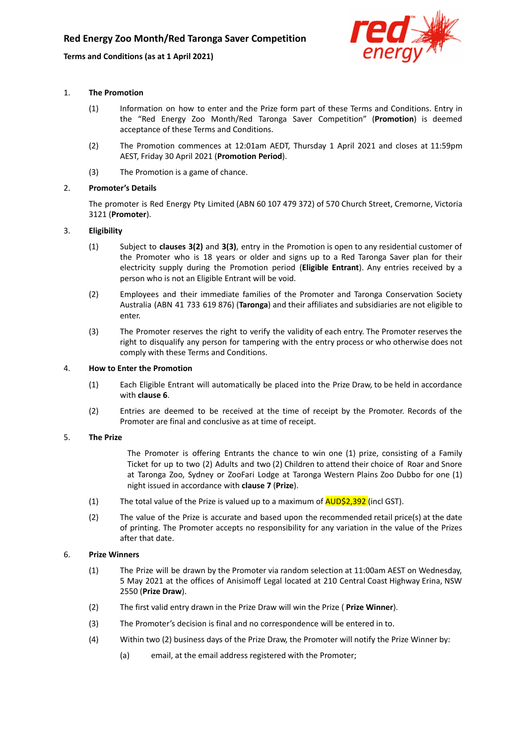# **Terms and Conditions (as at 1 April 2021)**



## 1. **The Promotion**

- (1) Information on how to enter and the Prize form part of these Terms and Conditions. Entry in the "Red Energy Zoo Month/Red Taronga Saver Competition" (**Promotion**) is deemed acceptance of these Terms and Conditions.
- (2) The Promotion commences at 12:01am AEDT, Thursday 1 April 2021 and closes at 11:59pm AEST, Friday 30 April 2021 (**Promotion Period**).
- (3) The Promotion is a game of chance.

## 2. **Promoter's Details**

The promoter is Red Energy Pty Limited (ABN 60 107 479 372) of 570 Church Street, Cremorne, Victoria 3121 (**Promoter**).

## 3. **Eligibility**

- (1) Subject to **clauses 3(2)** and **3(3)**, entry in the Promotion is open to any residential customer of the Promoter who is 18 years or older and signs up to a Red Taronga Saver plan for their electricity supply during the Promotion period (**Eligible Entrant**). Any entries received by a person who is not an Eligible Entrant will be void.
- (2) Employees and their immediate families of the Promoter and Taronga Conservation Society Australia (ABN 41 733 619 876) (**Taronga**) and their affiliates and subsidiaries are not eligible to enter.
- (3) The Promoter reserves the right to verify the validity of each entry. The Promoter reserves the right to disqualify any person for tampering with the entry process or who otherwise does not comply with these Terms and Conditions.

## 4. **How to Enter the Promotion**

- (1) Each Eligible Entrant will automatically be placed into the Prize Draw, to be held in accordance with **clause 6**.
- (2) Entries are deemed to be received at the time of receipt by the Promoter. Records of the Promoter are final and conclusive as at time of receipt.

## 5. **The Prize**

The Promoter is offering Entrants the chance to win one (1) prize, consisting of a Family Ticket for up to two (2) Adults and two (2) Children to attend their choice of Roar and Snore at Taronga Zoo, Sydney or ZooFari Lodge at Taronga Western Plains Zoo Dubbo for one (1) night issued in accordance with **clause 7** (**Prize**).

- (1) The total value of the Prize is valued up to a maximum of  $\overline{AUD\dot{S}2,392}$  (incl GST).
- (2) The value of the Prize is accurate and based upon the recommended retail price(s) at the date of printing. The Promoter accepts no responsibility for any variation in the value of the Prizes after that date.

## 6. **Prize Winners**

- (1) The Prize will be drawn by the Promoter via random selection at 11:00am AEST on Wednesday, 5 May 2021 at the offices of Anisimoff Legal located at 210 Central Coast Highway Erina, NSW 2550 (**Prize Draw**).
- (2) The first valid entry drawn in the Prize Draw will win the Prize ( **Prize Winner**).
- (3) The Promoter's decision is final and no correspondence will be entered in to.
- (4) Within two (2) business days of the Prize Draw, the Promoter will notify the Prize Winner by:
	- (a) email, at the email address registered with the Promoter;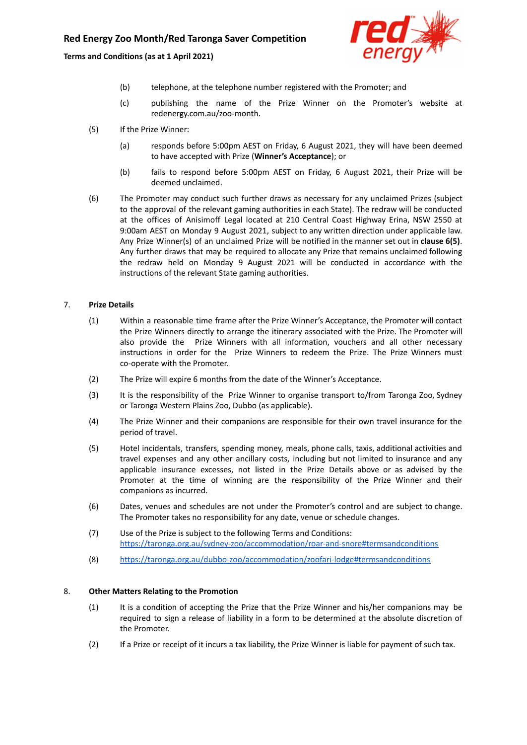# **Red Energy Zoo Month/Red Taronga Saver Competition**

**Terms and Conditions (as at 1 April 2021)**



- (b) telephone, at the telephone number registered with the Promoter; and
- (c) publishing the name of the Prize Winner on the Promoter's website at redenergy.com.au/zoo-month.
- (5) If the Prize Winner:
	- (a) responds before 5:00pm AEST on Friday, 6 August 2021, they will have been deemed to have accepted with Prize (**Winner's Acceptance**); or
	- (b) fails to respond before 5:00pm AEST on Friday, 6 August 2021, their Prize will be deemed unclaimed.
- (6) The Promoter may conduct such further draws as necessary for any unclaimed Prizes (subject to the approval of the relevant gaming authorities in each State). The redraw will be conducted at the offices of Anisimoff Legal located at 210 Central Coast Highway Erina, NSW 2550 at 9:00am AEST on Monday 9 August 2021, subject to any written direction under applicable law. Any Prize Winner(s) of an unclaimed Prize will be notified in the manner set out in **clause 6(5)**. Any further draws that may be required to allocate any Prize that remains unclaimed following the redraw held on Monday 9 August 2021 will be conducted in accordance with the instructions of the relevant State gaming authorities.

### 7. **Prize Details**

- (1) Within a reasonable time frame after the Prize Winner's Acceptance, the Promoter will contact the Prize Winners directly to arrange the itinerary associated with the Prize. The Promoter will also provide the Prize Winners with all information, vouchers and all other necessary instructions in order for the Prize Winners to redeem the Prize. The Prize Winners must co-operate with the Promoter.
- (2) The Prize will expire 6 months from the date of the Winner's Acceptance.
- (3) It is the responsibility of the Prize Winner to organise transport to/from Taronga Zoo, Sydney or Taronga Western Plains Zoo, Dubbo (as applicable).
- (4) The Prize Winner and their companions are responsible for their own travel insurance for the period of travel.
- (5) Hotel incidentals, transfers, spending money, meals, phone calls, taxis, additional activities and travel expenses and any other ancillary costs, including but not limited to insurance and any applicable insurance excesses, not listed in the Prize Details above or as advised by the Promoter at the time of winning are the responsibility of the Prize Winner and their companions as incurred.
- (6) Dates, venues and schedules are not under the Promoter's control and are subject to change. The Promoter takes no responsibility for any date, venue or schedule changes.
- (7) Use of the Prize is subject to the following Terms and Conditions: <https://taronga.org.au/sydney-zoo/accommodation/roar-and-snore#termsandconditions>
- (8) <https://taronga.org.au/dubbo-zoo/accommodation/zoofari-lodge#termsandconditions>

#### 8. **Other Matters Relating to the Promotion**

- (1) It is a condition of accepting the Prize that the Prize Winner and his/her companions may be required to sign a release of liability in a form to be determined at the absolute discretion of the Promoter.
- (2) If a Prize or receipt of it incurs a tax liability, the Prize Winner is liable for payment of such tax.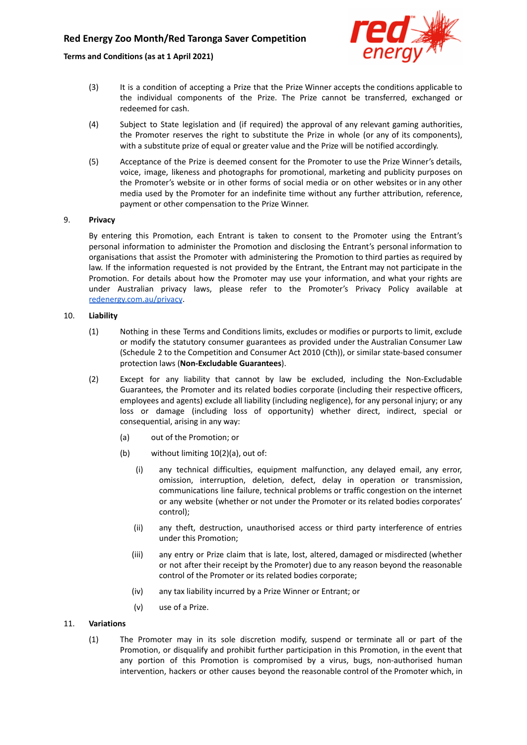# **Red Energy Zoo Month/Red Taronga Saver Competition**

## **Terms and Conditions (as at 1 April 2021)**



- (3) It is a condition of accepting a Prize that the Prize Winner accepts the conditions applicable to the individual components of the Prize. The Prize cannot be transferred, exchanged or redeemed for cash.
- (4) Subject to State legislation and (if required) the approval of any relevant gaming authorities, the Promoter reserves the right to substitute the Prize in whole (or any of its components), with a substitute prize of equal or greater value and the Prize will be notified accordingly.
- (5) Acceptance of the Prize is deemed consent for the Promoter to use the Prize Winner's details, voice, image, likeness and photographs for promotional, marketing and publicity purposes on the Promoter's website or in other forms of social media or on other websites or in any other media used by the Promoter for an indefinite time without any further attribution, reference, payment or other compensation to the Prize Winner.

### 9. **Privacy**

By entering this Promotion, each Entrant is taken to consent to the Promoter using the Entrant's personal information to administer the Promotion and disclosing the Entrant's personal information to organisations that assist the Promoter with administering the Promotion to third parties as required by law. If the information requested is not provided by the Entrant, the Entrant may not participate in the Promotion. For details about how the Promoter may use your information, and what your rights are under Australian privacy laws, please refer to the Promoter's Privacy Policy available at [redenergy.com.au/privacy](https://www.redenergy.com.au/privacy).

## 10. **Liability**

- (1) Nothing in these Terms and Conditions limits, excludes or modifies or purports to limit, exclude or modify the statutory consumer guarantees as provided under the Australian Consumer Law (Schedule 2 to the Competition and Consumer Act 2010 (Cth)), or similar state-based consumer protection laws (**Non-Excludable Guarantees**).
- (2) Except for any liability that cannot by law be excluded, including the Non-Excludable Guarantees, the Promoter and its related bodies corporate (including their respective officers, employees and agents) exclude all liability (including negligence), for any personal injury; or any loss or damage (including loss of opportunity) whether direct, indirect, special or consequential, arising in any way:
	- (a) out of the Promotion; or
	- (b) without limiting 10(2)(a), out of:
		- (i) any technical difficulties, equipment malfunction, any delayed email, any error, omission, interruption, deletion, defect, delay in operation or transmission, communications line failure, technical problems or traffic congestion on the internet or any website (whether or not under the Promoter or its related bodies corporates' control);
		- (ii) any theft, destruction, unauthorised access or third party interference of entries under this Promotion;
		- (iii) any entry or Prize claim that is late, lost, altered, damaged or misdirected (whether or not after their receipt by the Promoter) due to any reason beyond the reasonable control of the Promoter or its related bodies corporate;
		- (iv) any tax liability incurred by a Prize Winner or Entrant; or
		- (v) use of a Prize.

## 11. **Variations**

(1) The Promoter may in its sole discretion modify, suspend or terminate all or part of the Promotion, or disqualify and prohibit further participation in this Promotion, in the event that any portion of this Promotion is compromised by a virus, bugs, non-authorised human intervention, hackers or other causes beyond the reasonable control of the Promoter which, in